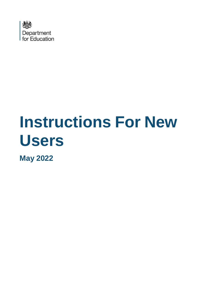

# **Instructions For New Users**

**May 2022**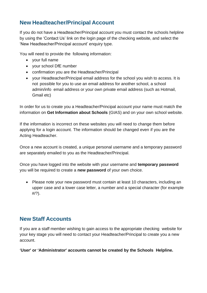## **New Headteacher/Principal Account**

If you do not have a Headteacher/Principal account you must contact the schools helpline by using the 'Contact Us' link on the login page of the checking website, and select the 'New Headteacher/Principal account' enquiry type.

You will need to provide the following information:

- your full name
- your school DfE number
- confirmation you are the Headteacher/Principal
- your Headteacher/Principal email address for the school you wish to access. It is not possible for you to use an email address for another school, a school admin/info email address or your own private email address (such as Hotmail, Gmail etc)

In order for us to create you a Headteacher/Principal account your name must match the information on **Get Information about Schools** (GIAS) and on your own school website.

If the information is incorrect on these websites you will need to change them before applying for a login account. The information should be changed even if you are the Acting Headteacher.

Once a new account is created, a unique personal username and a temporary password are separately emailed to you as the Headteacher/Principal.

Once you have logged into the website with your username and **temporary password** you will be required to create a **new password** of your own choice.

• Please note your new password must contain at least 10 characters, including an upper case and a lower case letter, a number and a special character (for example #/?).

## **New Staff Accounts**

If you are a staff member wishing to gain access to the appropriate checking website for your key stage you will need to contact your Headteacher/Principal to create you a new account.

#### '**User' or 'Administrator' accounts cannot be created by the Schools Helpline.**